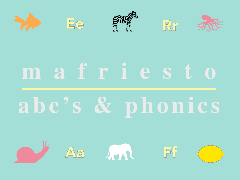

## m a friesto abc's & phonics

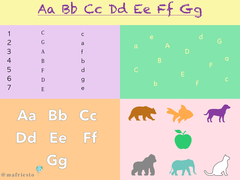Aa Bb CC Dd Ee Ff Gg

| 5<br>6     | $\mathcal{C}$<br>G<br>$\mathbf{A}$<br>B<br>F<br>D<br>E | $\mathsf{C}$<br>$\overline{a}$<br>$\mathsf b$<br>$\overline{C}$<br><b>g</b><br>e | e                      |
|------------|--------------------------------------------------------|----------------------------------------------------------------------------------|------------------------|
| Aa         | B<br>Dd Ee Ffl                                         | CG                                                                               | AR Z.<br>$\mathcal{L}$ |
| @mafriesto | $\bigcirc$                                             |                                                                                  | AN AN JS               |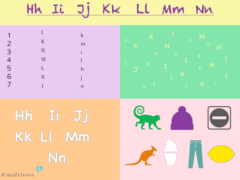## KLE LL MM IL Jj NM



## Hh II JJ KK LI Mm  $\bigcirc$ @mafriesto

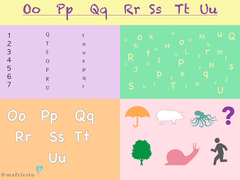





 $\mathbf{1}$ 

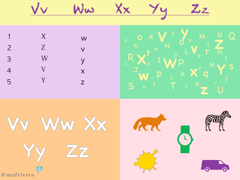

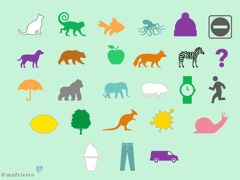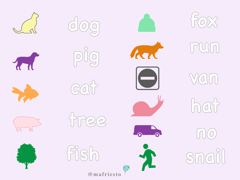















 $free$ 

 $\widehat{f_1} \widehat{g_0}$ 







A

 $\begin{matrix} 3 \\ 0 \end{matrix}$ 

@mafriesto

 $\Omega$ 



 $\bigcup_{i=1}^{n} \bigl( \begin{matrix} 1 \\ 1 \\ 1 \end{matrix} \bigr)$ 

 $V(G)$ 

hat

 $\bigcirc$